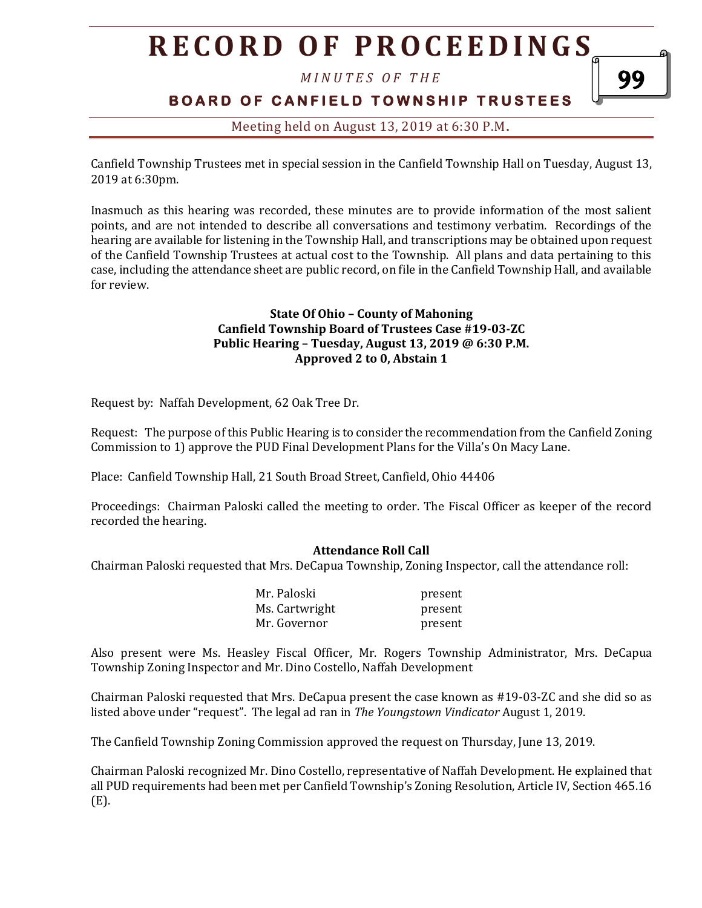# **R E C O R D O F P R O C E E D I N G S**

*M I N U T E S O F T H E* 

# **B O A R D O F C A N F I E L D T O W N S H I P T R U S T E E S**

## Meeting held on August 13, 2019 at 6:30 P.M**.**

Canfield Township Trustees met in special session in the Canfield Township Hall on Tuesday, August 13, 2019 at 6:30pm.

Inasmuch as this hearing was recorded, these minutes are to provide information of the most salient points, and are not intended to describe all conversations and testimony verbatim. Recordings of the hearing are available for listening in the Township Hall, and transcriptions may be obtained upon request of the Canfield Township Trustees at actual cost to the Township. All plans and data pertaining to this case, including the attendance sheet are public record, on file in the Canfield Township Hall, and available for review.

### **State Of Ohio – County of Mahoning Canfield Township Board of Trustees Case #19-03-ZC Public Hearing – Tuesday, August 13, 2019 @ 6:30 P.M. Approved 2 to 0, Abstain 1**

Request by: Naffah Development, 62 Oak Tree Dr.

Request: The purpose of this Public Hearing is to consider the recommendation from the Canfield Zoning Commission to 1) approve the PUD Final Development Plans for the Villa's On Macy Lane.

Place: Canfield Township Hall, 21 South Broad Street, Canfield, Ohio 44406

Proceedings: Chairman Paloski called the meeting to order. The Fiscal Officer as keeper of the record recorded the hearing.

#### **Attendance Roll Call**

Chairman Paloski requested that Mrs. DeCapua Township, Zoning Inspector, call the attendance roll:

| Mr. Paloski    | present |
|----------------|---------|
| Ms. Cartwright | present |
| Mr. Governor   | present |

Also present were Ms. Heasley Fiscal Officer, Mr. Rogers Township Administrator, Mrs. DeCapua Township Zoning Inspector and Mr. Dino Costello, Naffah Development

Chairman Paloski requested that Mrs. DeCapua present the case known as #19-03-ZC and she did so as listed above under "request". The legal ad ran in *The Youngstown Vindicator* August 1, 2019.

The Canfield Township Zoning Commission approved the request on Thursday, June 13, 2019.

Chairman Paloski recognized Mr. Dino Costello, representative of Naffah Development. He explained that all PUD requirements had been met per Canfield Township's Zoning Resolution, Article IV, Section 465.16 (E).

99